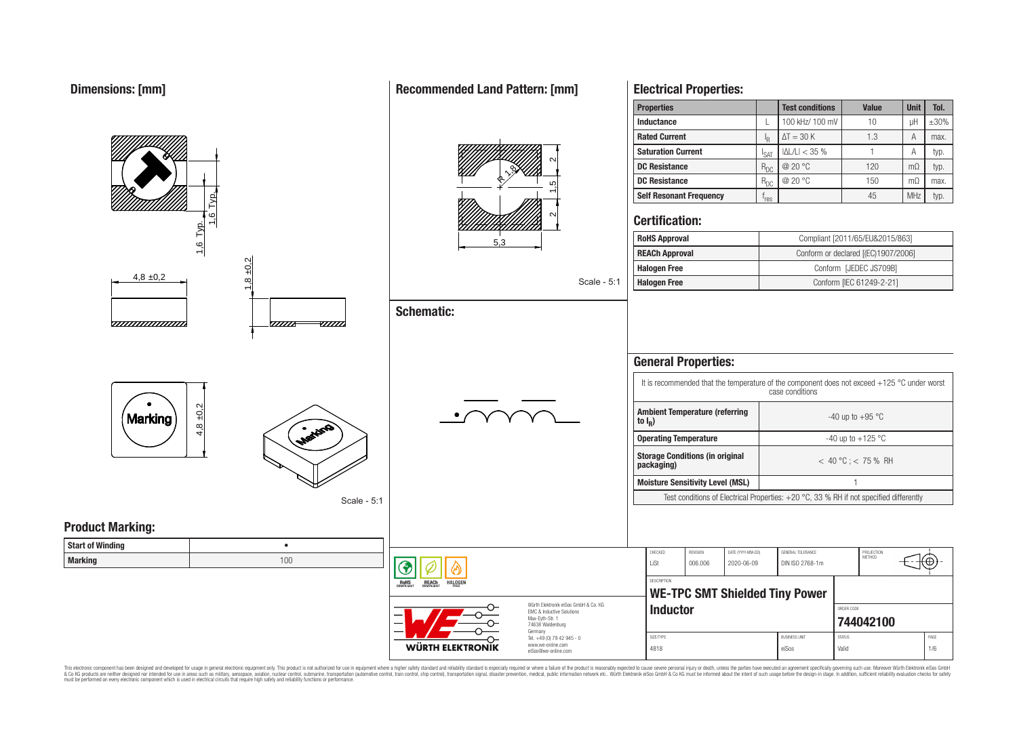#### **Properties Test conditions Value Unit Tol. Inductance**  $\left| \begin{array}{ccc} \text{L} & 100 \text{ kHz} / 100 \text{ mV} \end{array} \right|$  10  $\left| \begin{array}{ccc} \text{uH} & \pm 30\% \end{array} \right|$ **Rated Current**  $\Delta T = 30 \text{ K}$  1.3 A max. R **Saturation Current**  $\begin{array}{|c|c|c|c|c|}\n\hline\nI_{\text{SAT}} & |\Delta L/L| < 35 \% & 1 & A & \text{typ.} \\
\hline\nR_{\text{DC}} & @ 20 \text{ °C} & 120 & m\Omega & \text{typ.} \\
\hline\n\end{array}$  $\frac{2}{\sqrt{15}}$   $\frac{2}{\sqrt{2}}$ **DC Resistance** R<sub>DC</sub> @ 20 °C 120 mΩ typ. 19 R**DC Resistance** R<sub>DC</sub> @ 20 °C 150 mΩ max. **Self Resonant Frequency** | f<sub>res</sub> 1,6 Typ.  $r_{res}$   $45$  MHz typ. ี **Certification:** 1,6 Typ. **RoHS Approval Robert Compliant [2011/65/EU&2015/863]** 5,3 **REACh Approval** Conform or declared [(EC)1907/2006] 8 ±0.2 **Halogen Free** Conform [JEDEC JS709B]  $4.8 \pm 0.2$ Scale - 5:1 **Halogen Free** Conform [IEC 61249-2-21] **Schematic:** <del>www.www.</del> -*777777*  $\overline{u}\overline{u}$ **General Properties:** It is recommended that the temperature of the component does not exceed +125 °C under worst case conditions  $4,8 + 0,2$ **Ambient Temperature (referring** Marking  $-40$  up to  $+95$  °C **to I<sup>R</sup> ) Operating Temperature discriming Temperature**  $-40 \text{ up to } +125 \text{ °C}$ **Storage Conditions (in original packaging)** < 40 °C ; < 75 % RH **Moisture Sensitivity Level (MSL)** 1 Test conditions of Electrical Properties: +20 °C, 33 % RH if not specified differently Scale - 5:1 **Product Marking: Start of Winding** • CHECKED REVISION DATE (YYYY-MM-DD) GENERAL TOLERANCE PROJECTION<br>METHOD **Marking** 100 LiSt 006.006 2020-06-09 DIN ISO 2768-1m **DESCRIPTION RoHS** REACh HALOGEI **WE-TPC SMT Shielded Tiny Power** Würth Elektronik eiSos GmbH & Co. KG **Inductor Inductor** EMC & Inductive Solutions Max-Eyth-Str. 1 **[744042100](https://katalog.we-online.de/en/pbs/WE-TPC/744042100)** 74638 Waldenburg Germany Tel. +49 (0) 79 42 945 - 0 SIZE/TYPE BUSINESS UNIT STATUS PAGE www.we-online.com WÜRTH ELEKTRONIK

This electronic component has been designed and developed for usage in general electronic equipment only. This product is not authorized for use in equipment where a higher safety standard and reliability standard is espec & Ook product a label and the membed of the seasuch as marked and as which such a membed and the such assume that income in the seasuch and the simulation and the such assume that include to the such a membed and the such

eiSos@we-online.com

## **Recommended Land Pattern: [mm]**

**Electrical Properties:**

4818 eiSos Valid 1/6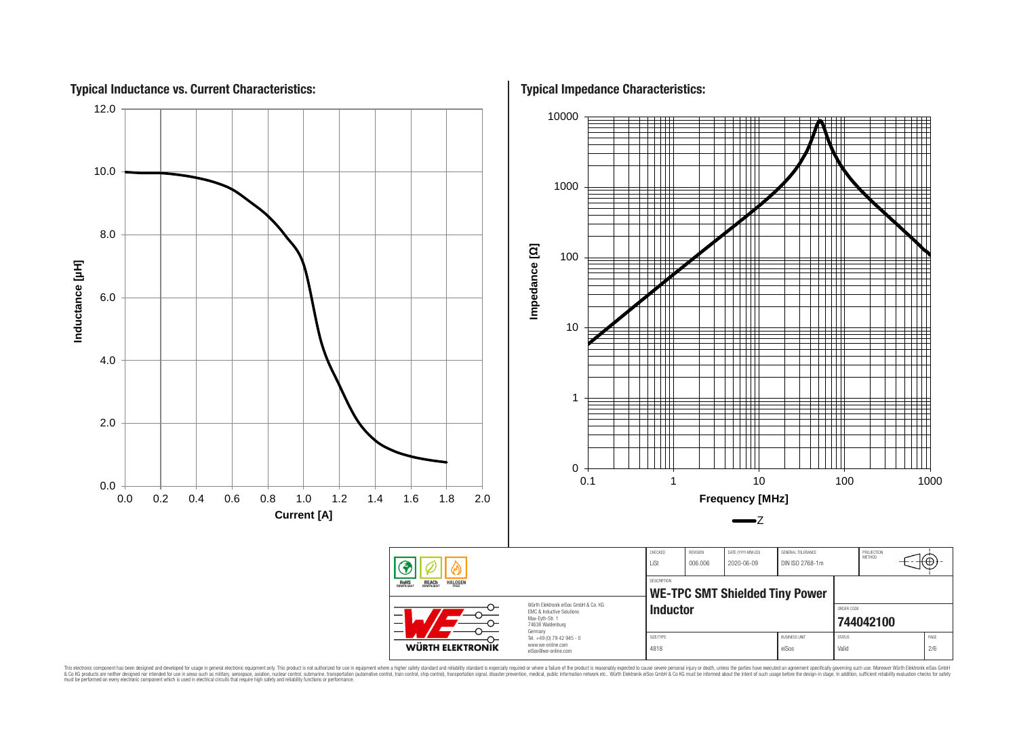

This electronic component has been designed and developed for usage in general electronic equipment only. This product is not authorized for use in equipment where a higher safely standard and reliability standard si espec & Ook product a label and the membed of the seasuch as marked and as which such a membed and the such assume that income in the seasuch and the simulation and the such assume that include to the such a membed and the such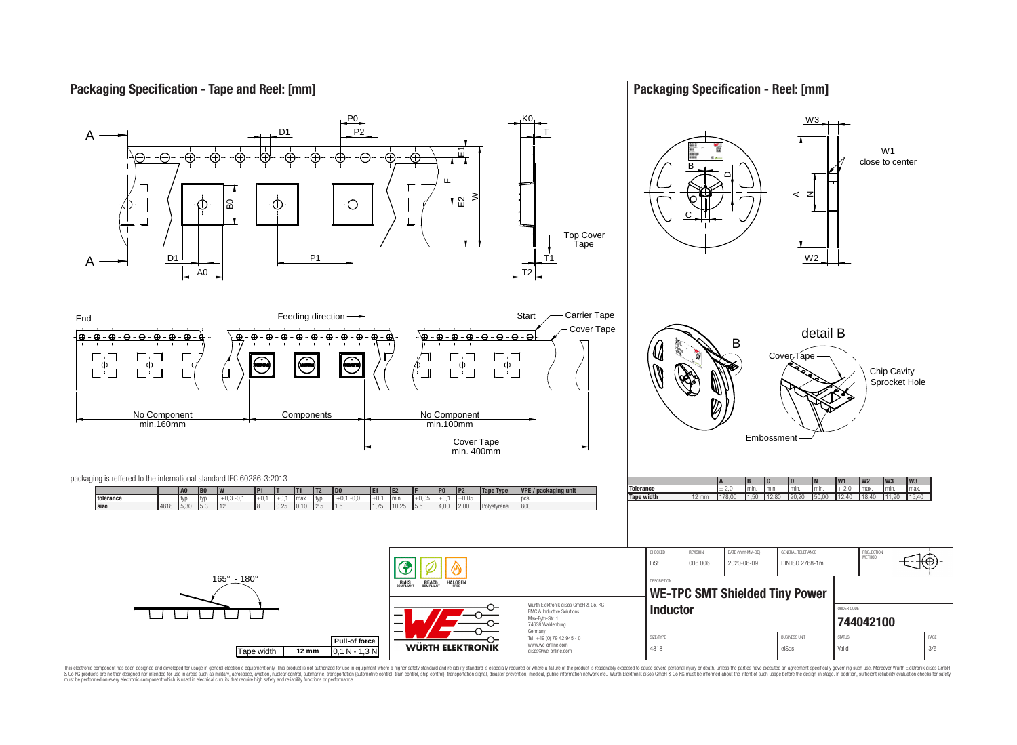## **Packaging Specification - Tape and Reel: [mm]**

## **Packaging Specification - Reel: [mm]**



This electronic component has been designed and developed for usage in general electronic equipment only. This product is not authorized for use in equipment where a higher safely standard and reliability standard si espec & Ook product a label and the membed of the seasuch as marked and as which such a membed and the such assume that income in the seasuch and the simulation and the such assume that include to the such a membed and the such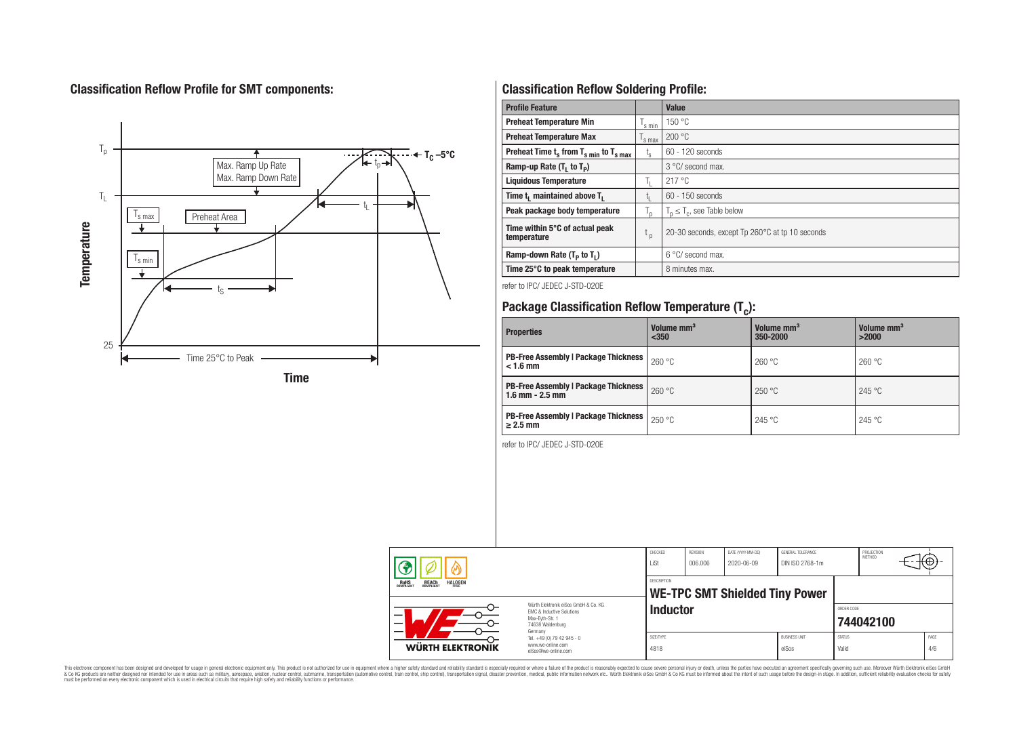## **Classification Reflow Profile for SMT components:**



## **Classification Reflow Soldering Profile:**

| <b>Profile Feature</b>                              |                    | <b>Value</b>                                    |
|-----------------------------------------------------|--------------------|-------------------------------------------------|
| <b>Preheat Temperature Min</b>                      | 's min             | 150 °C                                          |
| <b>Preheat Temperature Max</b>                      | <sup>I</sup> s max | 200 °C                                          |
| Preheat Time $t_s$ from $T_{s,min}$ to $T_{s,max}$  | $t_{s}$            | $60 - 120$ seconds                              |
| Ramp-up Rate $(T_1$ to $T_p$ )                      |                    | $3^{\circ}$ C/ second max.                      |
| <b>Liquidous Temperature</b>                        | Ь.                 | 217 °C                                          |
| Time t <sub>1</sub> maintained above T <sub>1</sub> |                    | 60 - 150 seconds                                |
| Peak package body temperature                       | $T_{\sf p}$        | $T_n \leq T_c$ , see Table below                |
| Time within 5°C of actual peak<br>temperature       | $t_{p}$            | 20-30 seconds, except Tp 260°C at tp 10 seconds |
| Ramp-down Rate $(T_P$ to $T_I$ )                    |                    | 6 °C/ second max.                               |
| Time 25°C to peak temperature                       |                    | 8 minutes max.                                  |

refer to IPC/ JEDEC J-STD-020E

# **Package Classification Reflow Temperature (T<sup>c</sup> ):**

| <b>Properties</b>                                                    | Volume mm <sup>3</sup><br>$350$ | Volume mm <sup>3</sup><br>350-2000 | Volume mm <sup>3</sup><br>>2000 |
|----------------------------------------------------------------------|---------------------------------|------------------------------------|---------------------------------|
| <b>PB-Free Assembly   Package Thickness</b><br>$< 1.6$ mm            | 260 °C                          | 260 °C                             | 260 °C                          |
| <b>PB-Free Assembly   Package Thickness  </b><br>$1.6$ mm $- 2.5$ mm | 260 °C                          | 250 °C                             | 245 °C                          |
| <b>PB-Free Assembly   Package Thickness  </b><br>$\geq$ 2.5 mm       | 250 °C                          | 245 °C                             | 245 °C                          |

refer to IPC/ JEDEC J-STD-020E

| ⋒ |                                                                                                                                                                                                                                                   | CHECKED<br>LiSt                                                                   | <b>REVISION</b><br>006.006                                  | DATE (YYYY-MM-DD)<br>2020-06-09 | GENERAL TOLERANCE<br>DIN ISO 2768-1m |                               | PROJECTION<br><b>METHOD</b> | ιτΨ       |             |
|---|---------------------------------------------------------------------------------------------------------------------------------------------------------------------------------------------------------------------------------------------------|-----------------------------------------------------------------------------------|-------------------------------------------------------------|---------------------------------|--------------------------------------|-------------------------------|-----------------------------|-----------|-------------|
|   | <b>REACH</b><br>COMPLIANT<br><b>HALOGEN</b><br><b>ROHS</b><br>FRFF<br>Würth Flektronik eiSos GmbH & Co. KG<br><b>EMC &amp; Inductive Solutions</b><br>$\overline{\phantom{0}}$<br>Max-Evth-Str. 1<br>$\overline{\phantom{0}}$<br>74638 Waldenburg |                                                                                   | <b>DESCRIPTION</b><br><b>WE-TPC SMT Shielded Tiny Power</b> |                                 |                                      |                               |                             |           |             |
|   |                                                                                                                                                                                                                                                   |                                                                                   | <b>Inductor</b>                                             |                                 |                                      |                               | ORDER CODE                  | 744042100 |             |
|   | <b>WÜRTH ELEKTRONIK</b>                                                                                                                                                                                                                           | Germany<br>Tel. +49 (0) 79 42 945 - 0<br>www.we-online.com<br>eiSos@we-online.com | SIZE/TYPE<br>4818                                           |                                 |                                      | <b>BUSINESS UNIT</b><br>eiSos | <b>STATUS</b><br>Valid      |           | PAGE<br>4/6 |

This electronic component has been designed and developed for usage in general electronic equipment only. This product is not authorized for subserved requipment where a higher selection equipment where a higher selection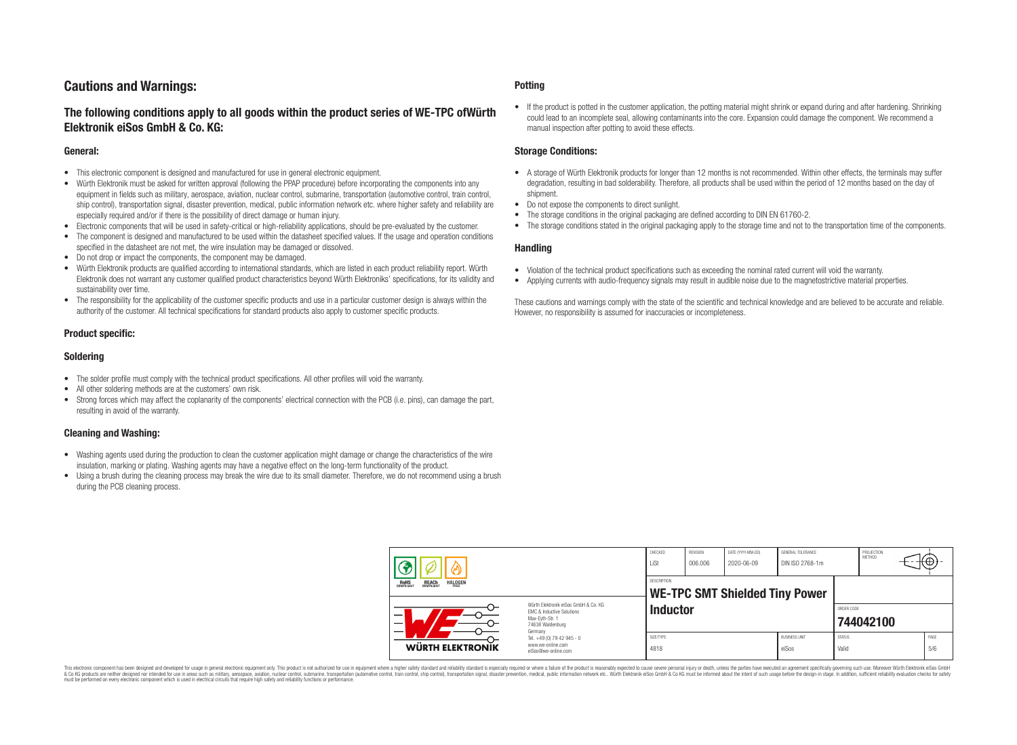## **Cautions and Warnings:**

## **The following conditions apply to all goods within the product series of WE-TPC ofWürth Elektronik eiSos GmbH & Co. KG:**

#### **General:**

- This electronic component is designed and manufactured for use in general electronic equipment.
- Würth Elektronik must be asked for written approval (following the PPAP procedure) before incorporating the components into any equipment in fields such as military, aerospace, aviation, nuclear control, submarine, transportation (automotive control, train control, ship control), transportation signal, disaster prevention, medical, public information network etc. where higher safety and reliability are especially required and/or if there is the possibility of direct damage or human injury.
- Electronic components that will be used in safety-critical or high-reliability applications, should be pre-evaluated by the customer.
- The component is designed and manufactured to be used within the datasheet specified values. If the usage and operation conditions specified in the datasheet are not met, the wire insulation may be damaged or dissolved.
- Do not drop or impact the components, the component may be damaged.
- Würth Elektronik products are qualified according to international standards, which are listed in each product reliability report. Würth Elektronik does not warrant any customer qualified product characteristics beyond Würth Elektroniks' specifications, for its validity and sustainability over time.
- The responsibility for the applicability of the customer specific products and use in a particular customer design is always within the authority of the customer. All technical specifications for standard products also apply to customer specific products.

### **Product specific:**

#### **Soldering**

- The solder profile must comply with the technical product specifications. All other profiles will void the warranty.
- All other soldering methods are at the customers' own risk.
- Strong forces which may affect the coplanarity of the components' electrical connection with the PCB (i.e. pins), can damage the part, resulting in avoid of the warranty.

### **Cleaning and Washing:**

- Washing agents used during the production to clean the customer application might damage or change the characteristics of the wire insulation, marking or plating. Washing agents may have a negative effect on the long-term functionality of the product.
- Using a brush during the cleaning process may break the wire due to its small diameter. Therefore, we do not recommend using a brush during the PCB cleaning process.

#### **Potting**

• If the product is potted in the customer application, the potting material might shrink or expand during and after hardening. Shrinking could lead to an incomplete seal, allowing contaminants into the core. Expansion could damage the component. We recommend a manual inspection after potting to avoid these effects.

#### **Storage Conditions:**

- A storage of Würth Elektronik products for longer than 12 months is not recommended. Within other effects, the terminals may suffer degradation, resulting in bad solderability. Therefore, all products shall be used within the period of 12 months based on the day of shipment.
- Do not expose the components to direct sunlight.
- The storage conditions in the original packaging are defined according to DIN EN 61760-2.
- The storage conditions stated in the original packaging apply to the storage time and not to the transportation time of the components.

#### **Handling**

- Violation of the technical product specifications such as exceeding the nominal rated current will void the warranty.
- Applying currents with audio-frequency signals may result in audible noise due to the magnetostrictive material properties.

These cautions and warnings comply with the state of the scientific and technical knowledge and are believed to be accurate and reliable. However, no responsibility is assumed for inaccuracies or incompleteness.

| B                                                                                                                                                                                                                        |                                                                        | CHECKED<br>LiSt                                             | REVISION<br>006.006 | DATE (YYYY-MM-DD)<br>2020-06-09 | GENERAL TOLERANCE<br>DIN ISO 2768-1m |                        | PROJECTION<br>METHOD | €θ          |
|--------------------------------------------------------------------------------------------------------------------------------------------------------------------------------------------------------------------------|------------------------------------------------------------------------|-------------------------------------------------------------|---------------------|---------------------------------|--------------------------------------|------------------------|----------------------|-------------|
| <b>HALOGEN</b><br><b>REACH</b><br>COMPLIANT<br>ROHS<br>COMPLIANT<br>Würth Elektronik eiSos GmbH & Co. KG<br>EMC & Inductive Solutions<br>–<br>Max-Eyth-Str. 1<br>$\overline{\phantom{0}}$<br>74638 Waldenburg<br>Germany |                                                                        | <b>DESCRIPTION</b><br><b>WE-TPC SMT Shielded Tiny Power</b> |                     |                                 |                                      |                        |                      |             |
|                                                                                                                                                                                                                          |                                                                        | <b>Inductor</b>                                             |                     |                                 |                                      | ORDER CODE             | 744042100            |             |
| WÜRTH ELEKTRONIK                                                                                                                                                                                                         | Tel. +49 (0) 79 42 945 - 0<br>www.we-online.com<br>eiSos@we-online.com | SIZE/TYPE<br>4818                                           |                     |                                 | <b>BUSINESS UNIT</b><br>eiSos        | <b>STATUS</b><br>Valid |                      | PAGE<br>5/6 |

This electronic component has been designed and developed for usage in general electronic equipment only. This product is not authorized for use in equipment where a higher safety standard and reliability standard si espec & Ook product a label and the membed of the seasuch as marked and as which such a membed and the such assume that income in the seasuch and the simulation and the such assume that include to the such a membed and the such